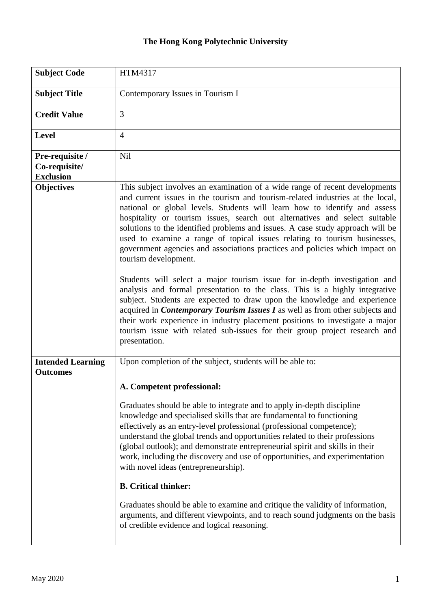## **The Hong Kong Polytechnic University**

| <b>Subject Code</b>                                  | HTM4317                                                                                                                                                                                                                                                                                                                                                                                                                                                                                                                                                                                                                                                                                                                                                                                                                                                                                                                                                                                                                                                                                                      |
|------------------------------------------------------|--------------------------------------------------------------------------------------------------------------------------------------------------------------------------------------------------------------------------------------------------------------------------------------------------------------------------------------------------------------------------------------------------------------------------------------------------------------------------------------------------------------------------------------------------------------------------------------------------------------------------------------------------------------------------------------------------------------------------------------------------------------------------------------------------------------------------------------------------------------------------------------------------------------------------------------------------------------------------------------------------------------------------------------------------------------------------------------------------------------|
| <b>Subject Title</b>                                 | Contemporary Issues in Tourism I                                                                                                                                                                                                                                                                                                                                                                                                                                                                                                                                                                                                                                                                                                                                                                                                                                                                                                                                                                                                                                                                             |
| <b>Credit Value</b>                                  | 3                                                                                                                                                                                                                                                                                                                                                                                                                                                                                                                                                                                                                                                                                                                                                                                                                                                                                                                                                                                                                                                                                                            |
| Level                                                | $\overline{4}$                                                                                                                                                                                                                                                                                                                                                                                                                                                                                                                                                                                                                                                                                                                                                                                                                                                                                                                                                                                                                                                                                               |
| Pre-requisite /<br>Co-requisite/<br><b>Exclusion</b> | <b>Nil</b>                                                                                                                                                                                                                                                                                                                                                                                                                                                                                                                                                                                                                                                                                                                                                                                                                                                                                                                                                                                                                                                                                                   |
| <b>Objectives</b>                                    | This subject involves an examination of a wide range of recent developments<br>and current issues in the tourism and tourism-related industries at the local,<br>national or global levels. Students will learn how to identify and assess<br>hospitality or tourism issues, search out alternatives and select suitable<br>solutions to the identified problems and issues. A case study approach will be<br>used to examine a range of topical issues relating to tourism businesses,<br>government agencies and associations practices and policies which impact on<br>tourism development.<br>Students will select a major tourism issue for in-depth investigation and<br>analysis and formal presentation to the class. This is a highly integrative<br>subject. Students are expected to draw upon the knowledge and experience<br>acquired in <i>Contemporary Tourism Issues I</i> as well as from other subjects and<br>their work experience in industry placement positions to investigate a major<br>tourism issue with related sub-issues for their group project research and<br>presentation. |
| <b>Intended Learning</b><br><b>Outcomes</b>          | Upon completion of the subject, students will be able to:<br>A. Competent professional:<br>Graduates should be able to integrate and to apply in-depth discipline<br>knowledge and specialised skills that are fundamental to functioning<br>effectively as an entry-level professional (professional competence);<br>understand the global trends and opportunities related to their professions<br>(global outlook); and demonstrate entrepreneurial spirit and skills in their<br>work, including the discovery and use of opportunities, and experimentation<br>with novel ideas (entrepreneurship).<br><b>B.</b> Critical thinker:<br>Graduates should be able to examine and critique the validity of information,<br>arguments, and different viewpoints, and to reach sound judgments on the basis<br>of credible evidence and logical reasoning.                                                                                                                                                                                                                                                    |